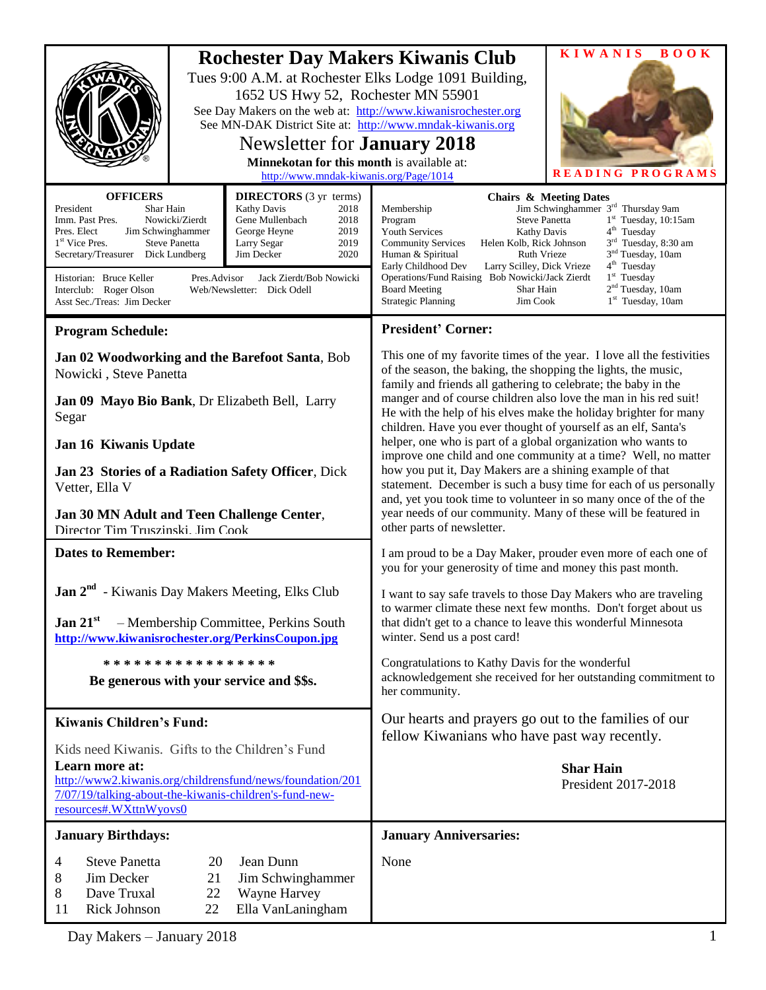|                                                                                                                                                                                                                                                                                                                                                                                                                                                                                                                                           |  | 1652 US Hwy 52, Rochester MN 55901<br>Newsletter for <b>January</b> 2018<br>Minnekotan for this month is available at:<br>http://www.mndak-kiwanis.org/Page/1014 | <b>Rochester Day Makers Kiwanis Club</b><br>Tues 9:00 A.M. at Rochester Elks Lodge 1091 Building,<br>See Day Makers on the web at: http://www.kiwanisrochester.org<br>See MN-DAK District Site at: http://www.mndak-kiwanis.org                                                                                                                                                                                                                                                                                                                                                                                                                                                                                                                                                                                                                              | <b>KIWANIS</b><br><b>BOOK</b><br>READING PROGRAMS                                                                                                                                                                                                                                                                     |
|-------------------------------------------------------------------------------------------------------------------------------------------------------------------------------------------------------------------------------------------------------------------------------------------------------------------------------------------------------------------------------------------------------------------------------------------------------------------------------------------------------------------------------------------|--|------------------------------------------------------------------------------------------------------------------------------------------------------------------|--------------------------------------------------------------------------------------------------------------------------------------------------------------------------------------------------------------------------------------------------------------------------------------------------------------------------------------------------------------------------------------------------------------------------------------------------------------------------------------------------------------------------------------------------------------------------------------------------------------------------------------------------------------------------------------------------------------------------------------------------------------------------------------------------------------------------------------------------------------|-----------------------------------------------------------------------------------------------------------------------------------------------------------------------------------------------------------------------------------------------------------------------------------------------------------------------|
| <b>OFFICERS</b><br><b>DIRECTORS</b> (3 yr terms)<br>President<br>Shar Hain<br><b>Kathy Davis</b><br>2018<br>Nowicki/Zierdt<br>Imm. Past Pres.<br>Gene Mullenbach<br>2018<br>2019<br>Pres. Elect<br>Jim Schwinghammer<br>George Heyne<br>1 <sup>st</sup> Vice Pres.<br>2019<br><b>Steve Panetta</b><br>Larry Segar<br>2020<br>Secretary/Treasurer Dick Lundberg<br>Jim Decker<br>Historian: Bruce Keller<br>Pres.Advisor<br>Jack Zierdt/Bob Nowicki<br>Interclub: Roger Olson<br>Web/Newsletter: Dick Odell<br>Asst Sec./Treas: Jim Decker |  |                                                                                                                                                                  | Membership<br>Program<br><b>Youth Services</b><br>Kathy Davis<br>Helen Kolb, Rick Johnson<br><b>Community Services</b><br>Ruth Vrieze<br>Human & Spiritual<br>Early Childhood Dev<br>Larry Scilley, Dick Vrieze<br>Operations/Fund Raising Bob Nowicki/Jack Zierdt<br><b>Board Meeting</b><br>Shar Hain<br><b>Strategic Planning</b><br>Jim Cook                                                                                                                                                                                                                                                                                                                                                                                                                                                                                                             | <b>Chairs &amp; Meeting Dates</b><br>Jim Schwinghammer 3 <sup>rd</sup> Thursday 9am<br><b>Steve Panetta</b><br>$1st$ Tuesday, 10:15am<br>$4th$ Tuesday<br>3 <sup>rd</sup> Tuesday, 8:30 am<br>3 <sup>nd</sup> Tuesday, 10am<br>4 <sup>th</sup> Tuesday<br>$1st$ Tuesday<br>$2nd$ Tuesday, 10am<br>$1st$ Tuesday, 10am |
| <b>Program Schedule:</b>                                                                                                                                                                                                                                                                                                                                                                                                                                                                                                                  |  |                                                                                                                                                                  | <b>President' Corner:</b>                                                                                                                                                                                                                                                                                                                                                                                                                                                                                                                                                                                                                                                                                                                                                                                                                                    |                                                                                                                                                                                                                                                                                                                       |
| Jan 02 Woodworking and the Barefoot Santa, Bob<br>Nowicki, Steve Panetta                                                                                                                                                                                                                                                                                                                                                                                                                                                                  |  |                                                                                                                                                                  | This one of my favorite times of the year. I love all the festivities<br>of the season, the baking, the shopping the lights, the music,<br>family and friends all gathering to celebrate; the baby in the<br>manger and of course children also love the man in his red suit!<br>He with the help of his elves make the holiday brighter for many<br>children. Have you ever thought of yourself as an elf, Santa's<br>helper, one who is part of a global organization who wants to<br>improve one child and one community at a time? Well, no matter<br>how you put it, Day Makers are a shining example of that<br>statement. December is such a busy time for each of us personally<br>and, yet you took time to volunteer in so many once of the of the<br>year needs of our community. Many of these will be featured in<br>other parts of newsletter. |                                                                                                                                                                                                                                                                                                                       |
| Jan 09 Mayo Bio Bank, Dr Elizabeth Bell, Larry<br>Segar                                                                                                                                                                                                                                                                                                                                                                                                                                                                                   |  |                                                                                                                                                                  |                                                                                                                                                                                                                                                                                                                                                                                                                                                                                                                                                                                                                                                                                                                                                                                                                                                              |                                                                                                                                                                                                                                                                                                                       |
| Jan 16 Kiwanis Update                                                                                                                                                                                                                                                                                                                                                                                                                                                                                                                     |  |                                                                                                                                                                  |                                                                                                                                                                                                                                                                                                                                                                                                                                                                                                                                                                                                                                                                                                                                                                                                                                                              |                                                                                                                                                                                                                                                                                                                       |
| Jan 23 Stories of a Radiation Safety Officer, Dick<br>Vetter, Ella V<br>Jan 30 MN Adult and Teen Challenge Center,<br>Director Tim Truszinski. Jim Cook                                                                                                                                                                                                                                                                                                                                                                                   |  |                                                                                                                                                                  |                                                                                                                                                                                                                                                                                                                                                                                                                                                                                                                                                                                                                                                                                                                                                                                                                                                              |                                                                                                                                                                                                                                                                                                                       |
| <b>Dates to Remember:</b>                                                                                                                                                                                                                                                                                                                                                                                                                                                                                                                 |  |                                                                                                                                                                  | I am proud to be a Day Maker, prouder even more of each one of<br>you for your generosity of time and money this past month.                                                                                                                                                                                                                                                                                                                                                                                                                                                                                                                                                                                                                                                                                                                                 |                                                                                                                                                                                                                                                                                                                       |
| <b>Jan 2<sup>nd</sup></b> - Kiwanis Day Makers Meeting, Elks Club                                                                                                                                                                                                                                                                                                                                                                                                                                                                         |  |                                                                                                                                                                  | I want to say safe travels to those Day Makers who are traveling<br>to warmer climate these next few months. Don't forget about us<br>that didn't get to a chance to leave this wonderful Minnesota<br>winter. Send us a post card!                                                                                                                                                                                                                                                                                                                                                                                                                                                                                                                                                                                                                          |                                                                                                                                                                                                                                                                                                                       |
| Jan $21st$<br>- Membership Committee, Perkins South<br>http://www.kiwanisrochester.org/PerkinsCoupon.jpg                                                                                                                                                                                                                                                                                                                                                                                                                                  |  |                                                                                                                                                                  |                                                                                                                                                                                                                                                                                                                                                                                                                                                                                                                                                                                                                                                                                                                                                                                                                                                              |                                                                                                                                                                                                                                                                                                                       |
| * * * * * * * * * * * * * * * * *<br>Be generous with your service and \$\$s.                                                                                                                                                                                                                                                                                                                                                                                                                                                             |  |                                                                                                                                                                  | Congratulations to Kathy Davis for the wonderful<br>acknowledgement she received for her outstanding commitment to<br>her community.                                                                                                                                                                                                                                                                                                                                                                                                                                                                                                                                                                                                                                                                                                                         |                                                                                                                                                                                                                                                                                                                       |
| <b>Kiwanis Children's Fund:</b>                                                                                                                                                                                                                                                                                                                                                                                                                                                                                                           |  |                                                                                                                                                                  | Our hearts and prayers go out to the families of our<br>fellow Kiwanians who have past way recently.                                                                                                                                                                                                                                                                                                                                                                                                                                                                                                                                                                                                                                                                                                                                                         |                                                                                                                                                                                                                                                                                                                       |
| Kids need Kiwanis. Gifts to the Children's Fund<br>Learn more at:<br>http://www2.kiwanis.org/childrensfund/news/foundation/201<br>7/07/19/talking-about-the-kiwanis-children's-fund-new-<br>resources#.WXttnWyovs0                                                                                                                                                                                                                                                                                                                        |  |                                                                                                                                                                  |                                                                                                                                                                                                                                                                                                                                                                                                                                                                                                                                                                                                                                                                                                                                                                                                                                                              | <b>Shar Hain</b><br>President 2017-2018                                                                                                                                                                                                                                                                               |
| <b>January Birthdays:</b>                                                                                                                                                                                                                                                                                                                                                                                                                                                                                                                 |  |                                                                                                                                                                  | <b>January Anniversaries:</b>                                                                                                                                                                                                                                                                                                                                                                                                                                                                                                                                                                                                                                                                                                                                                                                                                                |                                                                                                                                                                                                                                                                                                                       |
| <b>Steve Panetta</b><br>Jean Dunn<br>20<br>4<br>Jim Decker<br>8<br>21<br>Jim Schwinghammer<br>Dave Truxal<br>8<br>22<br>Wayne Harvey<br>Rick Johnson<br>22<br>Ella VanLaningham<br>11                                                                                                                                                                                                                                                                                                                                                     |  |                                                                                                                                                                  | None                                                                                                                                                                                                                                                                                                                                                                                                                                                                                                                                                                                                                                                                                                                                                                                                                                                         |                                                                                                                                                                                                                                                                                                                       |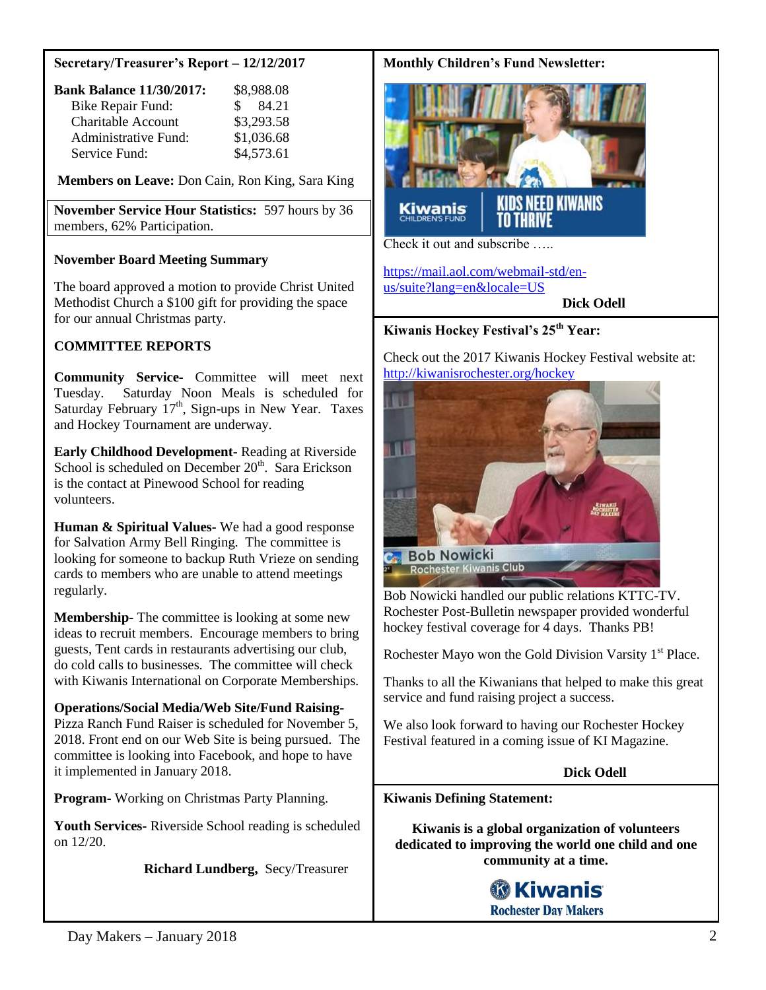#### **Secretary/Treasurer's Report – 12/12/2017**

| <b>Bank Balance 11/30/2017:</b> | \$8,988.08  |
|---------------------------------|-------------|
| <b>Bike Repair Fund:</b>        | 84.21<br>S. |
| <b>Charitable Account</b>       | \$3,293.58  |
| Administrative Fund:            | \$1,036.68  |
| Service Fund:                   | \$4,573.61  |

**Members on Leave:** Don Cain, Ron King, Sara King

**November Service Hour Statistics:** 597 hours by 36 members, 62% Participation.

#### **November Board Meeting Summary**

The board approved a motion to provide Christ United Methodist Church a \$100 gift for providing the space for our annual Christmas party.

### **COMMITTEE REPORTS**

**Community Service-** Committee will meet next Tuesday. Saturday Noon Meals is scheduled for Saturday February  $17<sup>th</sup>$ , Sign-ups in New Year. Taxes and Hockey Tournament are underway.

**Early Childhood Development-** Reading at Riverside School is scheduled on December  $20<sup>th</sup>$ . Sara Erickson is the contact at Pinewood School for reading volunteers.

**Human & Spiritual Values-** We had a good response for Salvation Army Bell Ringing. The committee is looking for someone to backup Ruth Vrieze on sending cards to members who are unable to attend meetings regularly.

**Membership-** The committee is looking at some new ideas to recruit members. Encourage members to bring guests, Tent cards in restaurants advertising our club, do cold calls to businesses. The committee will check with Kiwanis International on Corporate Memberships.

#### **Operations/Social Media/Web Site/Fund Raising-**

Pizza Ranch Fund Raiser is scheduled for November 5, 2018. Front end on our Web Site is being pursued. The committee is looking into Facebook, and hope to have it implemented in January 2018.

**Program-** Working on Christmas Party Planning.

**Youth Services-** Riverside School reading is scheduled on 12/20.

**Richard Lundberg,** Secy/Treasurer

### **Monthly Children's Fund Newsletter:**



[https://mail.aol.com/webmail-std/en](https://mail.aol.com/webmail-std/en-us/suite?lang=en&locale=US)[us/suite?lang=en&locale=US](https://mail.aol.com/webmail-std/en-us/suite?lang=en&locale=US)

 **Dick Odell**

# **Kiwanis Hockey Festival's 25th Year:**

Check out the 2017 Kiwanis Hockey Festival website at: <http://kiwanisrochester.org/hockey>



Bob Nowicki handled our public relations KTTC-TV. Rochester Post-Bulletin newspaper provided wonderful hockey festival coverage for 4 days. Thanks PB!

Rochester Mayo won the Gold Division Varsity  $1<sup>st</sup>$  Place.

Thanks to all the Kiwanians that helped to make this great service and fund raising project a success.

We also look forward to having our Rochester Hockey Festival featured in a coming issue of KI Magazine.

### **Dick Odell**

**Kiwanis Defining Statement:**

**Kiwanis is a global organization of volunteers dedicated to improving the world one child and one community at a time.**

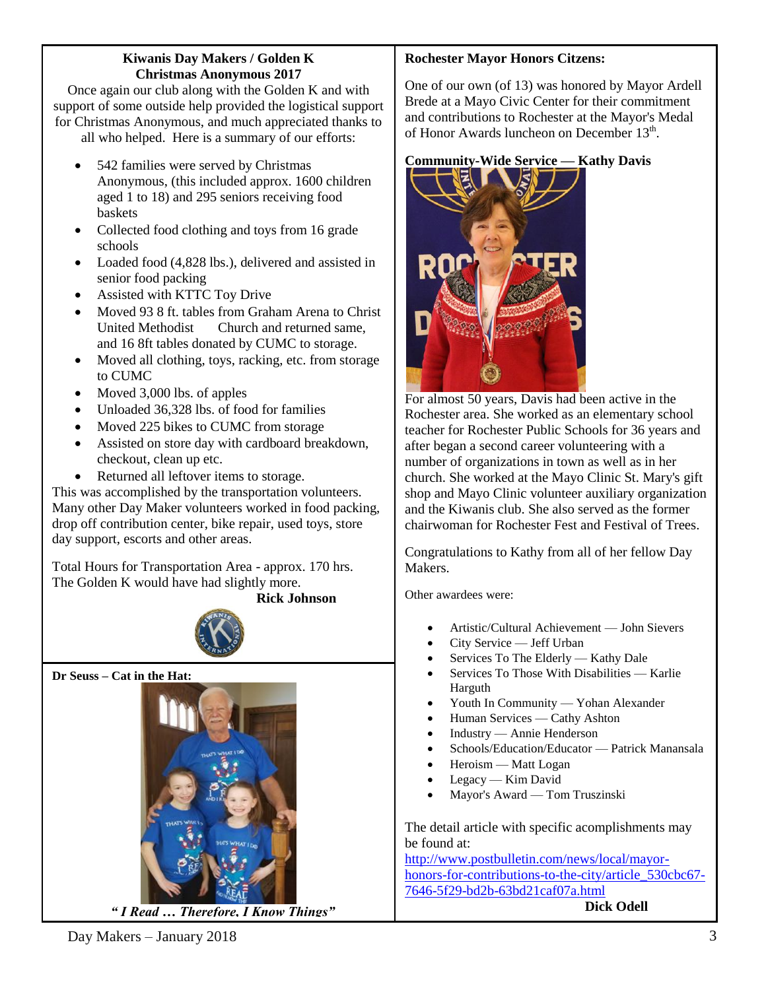### **Kiwanis Day Makers / Golden K Christmas Anonymous 2017**

Once again our club along with the Golden K and with support of some outside help provided the logistical support for Christmas Anonymous, and much appreciated thanks to all who helped. Here is a summary of our efforts:

- 
- 542 families were served by Christmas Anonymous, (this included approx. 1600 children aged 1 to 18) and 295 seniors receiving food baskets
- Collected food clothing and toys from 16 grade schools
- Loaded food (4,828 lbs.), delivered and assisted in senior food packing
- Assisted with KTTC Toy Drive
- Moved 93 8 ft. tables from Graham Arena to Christ United Methodist Church and returned same, and 16 8ft tables donated by CUMC to storage.
- Moved all clothing, toys, racking, etc. from storage to CUMC
- Moved 3,000 lbs. of apples
- Unloaded 36,328 lbs. of food for families
- Moved 225 bikes to CUMC from storage
- Assisted on store day with cardboard breakdown, checkout, clean up etc.
- Returned all leftover items to storage.

This was accomplished by the transportation volunteers. Many other Day Maker volunteers worked in food packing, drop off contribution center, bike repair, used toys, store day support, escorts and other areas.

Total Hours for Transportation Area - approx. 170 hrs. The Golden K would have had slightly more.

 **Rick Johnson**



**Dr Seuss – Cat in the Hat:**



 *" I Read … Therefore, I Know Things"*

# **Rochester Mayor Honors Citzens:**

One of our own (of 13) was honored by Mayor Ardell Brede at a Mayo Civic Center for their commitment and contributions to Rochester at the Mayor's Medal of Honor Awards luncheon on December 13<sup>th</sup>.

# **Community-Wide Service — Kathy Davis**



For almost 50 years, Davis had been active in the Rochester area. She worked as an elementary school teacher for Rochester Public Schools for 36 years and after began a second career volunteering with a number of organizations in town as well as in her church. She worked at the Mayo Clinic St. Mary's gift shop and Mayo Clinic volunteer auxiliary organization and the Kiwanis club. She also served as the former chairwoman for Rochester Fest and Festival of Trees.

Congratulations to Kathy from all of her fellow Day Makers.

Other awardees were:

- Artistic/Cultural Achievement John Sievers
- City Service Jeff Urban
- Services To The Elderly Kathy Dale
- Services To Those With Disabilities Karlie Harguth
- Youth In Community Yohan Alexander
- Human Services Cathy Ashton
- Industry Annie Henderson
- Schools/Education/Educator Patrick Manansala
- Heroism Matt Logan
- Legacy Kim David
- Mayor's Award Tom Truszinski

The detail article with specific acomplishments may be found at:

[http://www.postbulletin.com/news/local/mayor](http://www.postbulletin.com/news/local/mayor-honors-for-contributions-to-the-city/article_530cbc67-7646-5f29-bd2b-63bd21caf07a.html)[honors-for-contributions-to-the-city/article\\_530cbc67-](http://www.postbulletin.com/news/local/mayor-honors-for-contributions-to-the-city/article_530cbc67-7646-5f29-bd2b-63bd21caf07a.html) [7646-5f29-bd2b-63bd21caf07a.html](http://www.postbulletin.com/news/local/mayor-honors-for-contributions-to-the-city/article_530cbc67-7646-5f29-bd2b-63bd21caf07a.html) 

**Dick Odell**